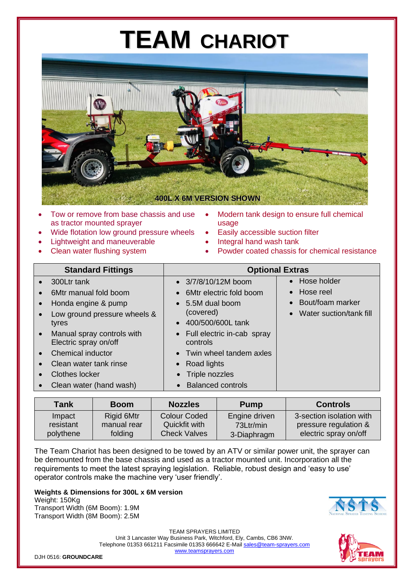## **TEAM CHARIOT**



- Tow or remove from base chassis and use as tractor mounted sprayer
- Wide flotation low ground pressure wheels
- Lightweight and maneuverable
- Clean water flushing system
- Modern tank design to ensure full chemical usage
- Easily accessible suction filter
- Integral hand wash tank
- Powder coated chassis for chemical resistance

| <b>Standard Fittings</b>                                                                                                                                                                                                                                                                                                                                                            | <b>Optional Extras</b>                                                                                                                                                                                                                                                 |                                                                                                                  |
|-------------------------------------------------------------------------------------------------------------------------------------------------------------------------------------------------------------------------------------------------------------------------------------------------------------------------------------------------------------------------------------|------------------------------------------------------------------------------------------------------------------------------------------------------------------------------------------------------------------------------------------------------------------------|------------------------------------------------------------------------------------------------------------------|
| 300Ltr tank<br>$\bullet$<br>6Mtr manual fold boom<br>$\bullet$<br>Honda engine & pump<br>$\bullet$<br>Low ground pressure wheels &<br>$\bullet$<br>tyres<br>Manual spray controls with<br>$\bullet$<br>Electric spray on/off<br><b>Chemical inductor</b><br>$\bullet$<br>Clean water tank rinse<br>$\bullet$<br>Clothes locker<br>$\bullet$<br>Clean water (hand wash)<br>$\bullet$ | $\bullet$ 3/7/8/10/12M boom<br>6Mtr electric fold boom<br>5.5M dual boom<br>$\bullet$<br>(covered)<br>400/500/600L tank<br>Full electric in-cab spray<br>$\bullet$<br>controls<br>Twin wheel tandem axles<br>Road lights<br>Triple nozzles<br><b>Balanced controls</b> | • Hose holder<br>Hose reel<br>$\bullet$<br>Bout/foam marker<br>$\bullet$<br>Water suction/tank fill<br>$\bullet$ |

| <b>Tank</b> | <b>Boom</b> | <b>Nozzles</b>      | <b>Pump</b>   | <b>Controls</b>          |
|-------------|-------------|---------------------|---------------|--------------------------|
| Impact      | Rigid 6Mtr  | Colour Coded        | Engine driven | 3-section isolation with |
| resistant   | manual rear | Quickfit with       | 73Ltr/min     | pressure regulation &    |
| polythene   | folding     | <b>Check Valves</b> | 3-Diaphragm   | electric spray on/off    |

The Team Chariot has been designed to be towed by an ATV or similar power unit, the sprayer can be demounted from the base chassis and used as a tractor mounted unit. Incorporation all the requirements to meet the latest spraying legislation. Reliable, robust design and 'easy to use' operator controls make the machine very 'user friendly'.

#### **Weights & Dimensions for 300L x 6M version**

Weight: 150Kg Transport Width (6M Boom): 1.9M Transport Width (8M Boom): 2.5M



TEAM SPRAYERS LIMITED Unit 3 Lancaster Way Business Park, Witchford, Ely, Cambs, CB6 3NW. Telephone 01353 661211 Facsimile 01353 666642 E-Mai[l sales@team-sprayers.com](mailto:sales@team-sprayers.com) [www.teamsprayers.com](http://www.teamsprayers.com/)

DJH 0516: **GROUNDCARE**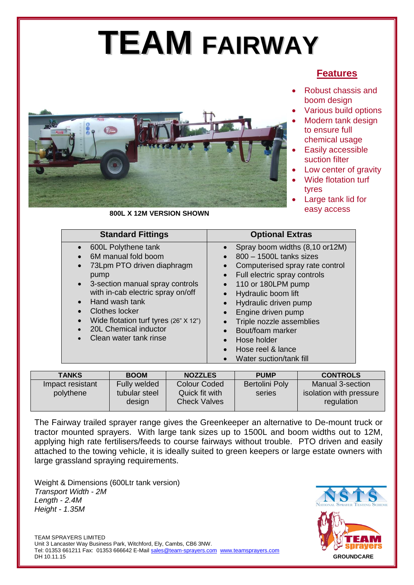# **TEAM FAIRWAY**

### **Features**

- Robust chassis and boom design
- Various build options
- Modern tank design to ensure full chemical usage
- Easily accessible suction filter
- Low center of gravity
- Wide flotation turf tyres
- Large tank lid for easy access



#### **800L X 12M VERSION SHOWN**

| <b>Standard Fittings</b>                                                                                                                                                                                                                                                                                     | <b>Optional Extras</b>                                                                                                                                                                                                                                                                                                                                            |
|--------------------------------------------------------------------------------------------------------------------------------------------------------------------------------------------------------------------------------------------------------------------------------------------------------------|-------------------------------------------------------------------------------------------------------------------------------------------------------------------------------------------------------------------------------------------------------------------------------------------------------------------------------------------------------------------|
| 600L Polythene tank<br>6M manual fold boom<br>73Lpm PTO driven diaphragm<br>pump<br>3-section manual spray controls<br>$\bullet$<br>with in-cab electric spray on/off<br>Hand wash tank<br><b>Clothes locker</b><br>Wide flotation turf tyres (26" X 12")<br>20L Chemical inductor<br>Clean water tank rinse | Spray boom widths (8,10 or12M)<br>800 - 1500L tanks sizes<br>Computerised spray rate control<br>Full electric spray controls<br>$\bullet$<br>110 or 180LPM pump<br>$\bullet$<br>Hydraulic boom lift<br>Hydraulic driven pump<br>Engine driven pump<br>Triple nozzle assemblies<br>Bout/foam marker<br>Hose holder<br>Hose reel & lance<br>Water suction/tank fill |

| <b>TANKS</b>     | <b>BOOM</b>   | <b>NOZZLES</b>      | <b>PUMP</b>    | <b>CONTROLS</b>         |
|------------------|---------------|---------------------|----------------|-------------------------|
| Impact resistant | Fully welded  | <b>Colour Coded</b> | Bertolini Poly | Manual 3-section        |
| polythene        | tubular steel | Quick fit with      | series         | isolation with pressure |
|                  | design        | <b>Check Valves</b> |                | regulation              |

The Fairway trailed sprayer range gives the Greenkeeper an alternative to De-mount truck or tractor mounted sprayers. With large tank sizes up to 1500L and boom widths out to 12M, applying high rate fertilisers/feeds to course fairways without trouble. PTO driven and easily attached to the towing vehicle, it is ideally suited to green keepers or large estate owners with large grassland spraying requirements.

Weight & Dimensions (600Ltr tank version) *Transport Width - 2M Length - 2.4M Height - 1.35M*



TEAM SPRAYERS LIMITED Unit 3 Lancaster Way Business Park, Witchford, Ely, Cambs, CB6 3NW. Tel: 01353 661211 Fax: 01353 666642 E-Mail [sales@team-sprayers.com](mailto:sales@team-sprayers.com) [www.teamsprayers.com](http://www.teamsprayers.com/)<br>DH 10 11 15 DH 10.11.15 **GROUNDCARE**